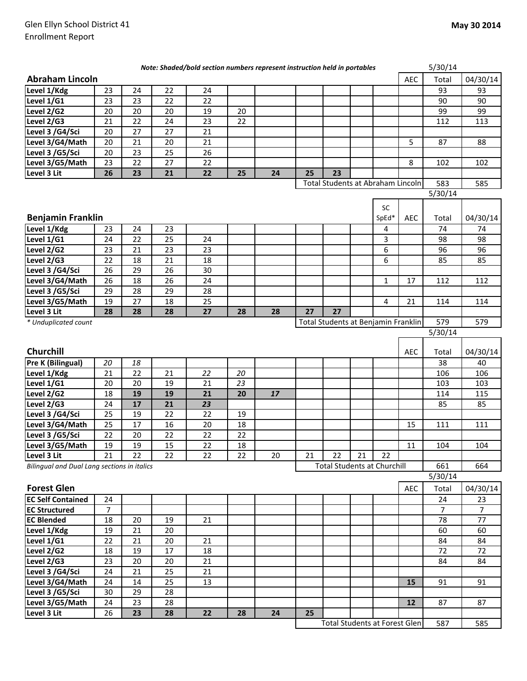|                                             |    |    |        | Note: Shaded/bold section numbers represent instruction held in portables |        |    |    |                                      |    |              |            | 5/30/14 |                |
|---------------------------------------------|----|----|--------|---------------------------------------------------------------------------|--------|----|----|--------------------------------------|----|--------------|------------|---------|----------------|
| <b>Abraham Lincoln</b>                      |    |    |        |                                                                           |        |    |    |                                      |    |              | <b>AEC</b> | Total   | 04/30/14       |
| Level 1/Kdg                                 | 23 | 24 | 22     | 24                                                                        |        |    |    |                                      |    |              |            | 93      | 93             |
| Level 1/G1                                  | 23 | 23 | 22     | 22                                                                        |        |    |    |                                      |    |              |            | 90      | 90             |
| Level 2/G2                                  | 20 | 20 | 20     | 19                                                                        | 20     |    |    |                                      |    |              |            | 99      | 99             |
| Level 2/G3                                  | 21 | 22 | 24     | 23                                                                        | 22     |    |    |                                      |    |              |            | 112     | 113            |
| Level 3 /G4/Sci                             | 20 | 27 | 27     | 21                                                                        |        |    |    |                                      |    |              |            |         |                |
| Level 3/G4/Math                             | 20 | 21 | 20     | 21                                                                        |        |    |    |                                      |    |              | 5          | 87      | 88             |
| Level 3 /G5/Sci                             | 20 | 23 | 25     | 26                                                                        |        |    |    |                                      |    |              |            |         |                |
| Level 3/G5/Math                             | 23 | 22 | 27     | 22                                                                        |        |    |    |                                      |    |              | 8          | 102     | 102            |
| Level 3 Lit                                 | 26 | 23 | 21     | 22                                                                        | 25     | 24 | 25 | 23                                   |    |              |            |         |                |
|                                             |    |    |        |                                                                           |        |    |    | Total Students at Abraham Lincoln    |    |              |            | 583     | 585            |
|                                             |    |    |        |                                                                           |        |    |    |                                      |    |              |            | 5/30/14 |                |
|                                             |    |    |        |                                                                           |        |    |    |                                      |    | <b>SC</b>    |            |         |                |
| <b>Benjamin Franklin</b>                    |    |    |        |                                                                           |        |    |    |                                      |    | SpEd*        | <b>AEC</b> | Total   | 04/30/14       |
| Level 1/Kdg                                 | 23 | 24 | 23     |                                                                           |        |    |    |                                      |    | 4            |            | 74      | 74             |
| Level 1/G1                                  | 24 | 22 | 25     | 24                                                                        |        |    |    |                                      |    | 3            |            | 98      | 98             |
| Level 2/G2                                  | 23 | 21 | 23     | 23                                                                        |        |    |    |                                      |    | 6            |            | 96      | 96             |
| Level 2/G3                                  | 22 | 18 | 21     | 18                                                                        |        |    |    |                                      |    | 6            |            | 85      | 85             |
| Level 3 /G4/Sci                             | 26 | 29 | 26     | 30                                                                        |        |    |    |                                      |    |              |            |         |                |
| Level 3/G4/Math                             | 26 | 18 | 26     | 24                                                                        |        |    |    |                                      |    | $\mathbf{1}$ | 17         | 112     | 112            |
| Level 3 /G5/Sci                             | 29 | 28 | 29     | 28                                                                        |        |    |    |                                      |    |              |            |         |                |
| Level 3/G5/Math                             | 19 | 27 | 18     | 25                                                                        |        |    |    |                                      |    | 4            | 21         | 114     | 114            |
| Level 3 Lit                                 | 28 | 28 | 28     | 27                                                                        | 28     | 28 | 27 | 27                                   |    |              |            |         |                |
| * Unduplicated count                        |    |    |        |                                                                           |        |    |    | Total Students at Benjamin Franklin  |    |              |            | 579     | 579            |
|                                             |    |    |        |                                                                           |        |    |    |                                      |    |              |            | 5/30/14 |                |
|                                             |    |    |        |                                                                           |        |    |    |                                      |    |              |            |         |                |
| Churchill                                   |    |    |        |                                                                           |        |    |    |                                      |    |              | AEC        | Total   | 04/30/14       |
| Pre K (Bilingual)                           | 20 | 18 |        |                                                                           |        |    |    |                                      |    |              |            | 38      | 40             |
| Level 1/Kdg                                 | 21 | 22 | 21     | 22                                                                        | 20     |    |    |                                      |    |              |            | 106     | 106            |
| Level 1/G1                                  | 20 | 20 | 19     | 21                                                                        | 23     |    |    |                                      |    |              |            | 103     | 103            |
| Level 2/G2                                  | 18 | 19 | 19     | 21                                                                        | 20     | 17 |    |                                      |    |              |            | 114     | 115            |
| Level 2/G3                                  | 24 | 17 | 21     | 23                                                                        |        |    |    |                                      |    |              |            | 85      | 85             |
| Level 3 /G4/Sci                             | 25 | 19 | 22     | 22                                                                        | 19     |    |    |                                      |    |              |            |         |                |
| Level 3/G4/Math                             | 25 | 17 | 16     | 20                                                                        | 18     |    |    |                                      |    |              | 15         | 111     | 111            |
| Level 3 /G5/Sci                             | 22 | 20 | 22     | 22                                                                        | 22     |    |    |                                      |    |              |            |         |                |
| Level 3/G5/Math                             | 19 | 19 | 15     | $22\,$                                                                    | $18\,$ |    |    |                                      |    |              | $11\,$     | 104     | 104            |
| Level 3 Lit                                 | 21 | 22 | 22     | 22                                                                        | 22     | 20 | 21 | 22                                   | 21 | 22           |            |         |                |
| Bilingual and Dual Lang sections in italics |    |    |        |                                                                           |        |    |    | <b>Total Students at Churchill</b>   |    |              |            | 661     | 664            |
|                                             |    |    |        |                                                                           |        |    |    |                                      |    |              |            | 5/30/14 |                |
| <b>Forest Glen</b>                          |    |    |        |                                                                           |        |    |    |                                      |    |              | <b>AEC</b> | Total   | 04/30/14       |
| <b>EC Self Contained</b>                    | 24 |    |        |                                                                           |        |    |    |                                      |    |              |            | 24      | 23             |
| <b>EC Structured</b>                        | 7  |    |        |                                                                           |        |    |    |                                      |    |              |            | 7       | $\overline{7}$ |
| <b>EC Blended</b>                           | 18 | 20 | 19     | 21                                                                        |        |    |    |                                      |    |              |            | 78      | 77             |
| Level 1/Kdg                                 | 19 | 21 | 20     |                                                                           |        |    |    |                                      |    |              |            | 60      | 60             |
| Level 1/G1                                  | 22 | 21 | 20     | 21                                                                        |        |    |    |                                      |    |              |            | 84      | 84             |
| Level 2/G2                                  | 18 | 19 | $17\,$ | 18                                                                        |        |    |    |                                      |    |              |            | 72      | 72             |
| Level 2/G3                                  | 23 | 20 | 20     | 21                                                                        |        |    |    |                                      |    |              |            | 84      | 84             |
| Level 3 /G4/Sci                             | 24 | 21 | 25     | 21                                                                        |        |    |    |                                      |    |              |            |         |                |
| Level 3/G4/Math                             | 24 | 14 | 25     | 13                                                                        |        |    |    |                                      |    |              | 15         | 91      | 91             |
| Level 3 /G5/Sci                             | 30 | 29 | 28     |                                                                           |        |    |    |                                      |    |              |            |         |                |
| Level 3/G5/Math                             | 24 | 23 | 28     |                                                                           |        |    |    |                                      |    |              | 12         | 87      | 87             |
| Level 3 Lit                                 | 26 | 23 | 28     | 22                                                                        | 28     | 24 | 25 |                                      |    |              |            |         |                |
|                                             |    |    |        |                                                                           |        |    |    | <b>Total Students at Forest Glen</b> |    |              |            | 587     | 585            |